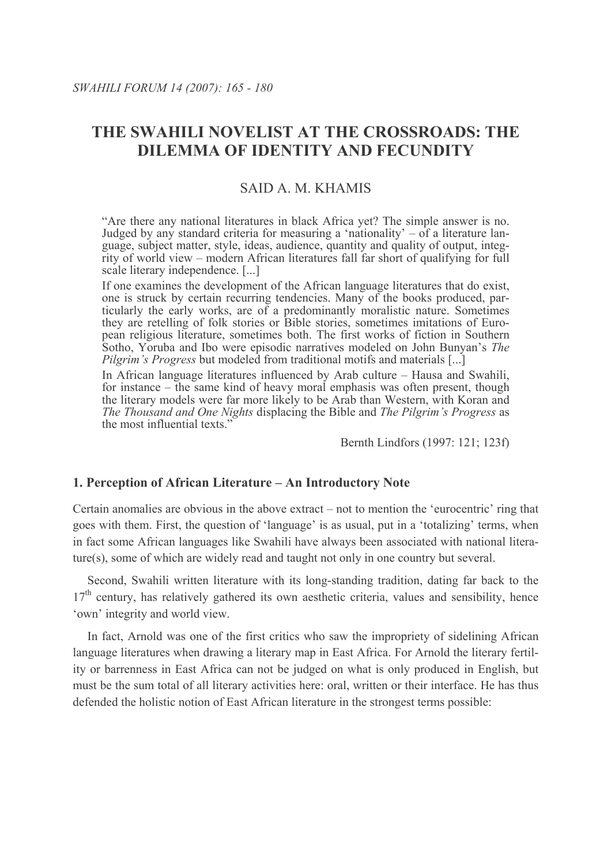# THE SWAHILI NOVELIST AT THE CROSSROADS: THE **DILEMMA OF IDENTITY AND FECUNDITY**

# SAID A M KHAMIS

"Are there any national literatures in black Africa yet? The simple answer is no. Judged by any standard criteria for measuring a 'nationality'  $-$  of a literature language, subject matter, style, ideas, audience, quantity and quality of output, integrity of world view – modern African literatures fall far short of qualifying for full scale literary independence. [...]

If one examines the development of the African language literatures that do exist. one is struck by certain recurring tendencies. Many of the books produced, particularly the early works, are of a predominantly moralistic nature. Sometimes they are retelling of folk stories or Bible stories, sometimes imitations of Euro-<br>pean religious literature, sometimes both. The first works of fiction in Southern Sotho, Yoruba and Ibo were episodic narratives modeled on John Bunyan's The *Pilgrim's Progress* but modeled from traditional motifs and materials [...]

In African language literatures influenced by Arab culture – Hausa and Swahili, for instance  $-$  the same kind of heavy moral emphasis was often present, though the literary models were far more likely to be Arab than Western, with Koran and The Thousand and One Nights displacing the Bible and The Pilgrim's Progress as the most influential texts"

Bernth Lindfors (1997: 121; 123f)

# 1. Perception of African Literature – An Introductory Note

Certain anomalies are obvious in the above extract – not to mention the 'eurocentric' ring that goes with them. First, the question of 'language' is as usual, put in a 'totalizing' terms, when in fact some African languages like Swahili have always been associated with national literature(s), some of which are widely read and taught not only in one country but several.

Second, Swahili written literature with its long-standing tradition, dating far back to the  $17<sup>th</sup>$  century, has relatively gathered its own aesthetic criteria, values and sensibility, hence 'own' integrity and world view.

In fact, Arnold was one of the first critics who saw the impropriety of sidelining African language literatures when drawing a literary map in East Africa. For Arnold the literary fertility or barrenness in East Africa can not be judged on what is only produced in English, but must be the sum total of all literary activities here: oral, written or their interface. He has thus defended the holistic notion of East African literature in the strongest terms possible: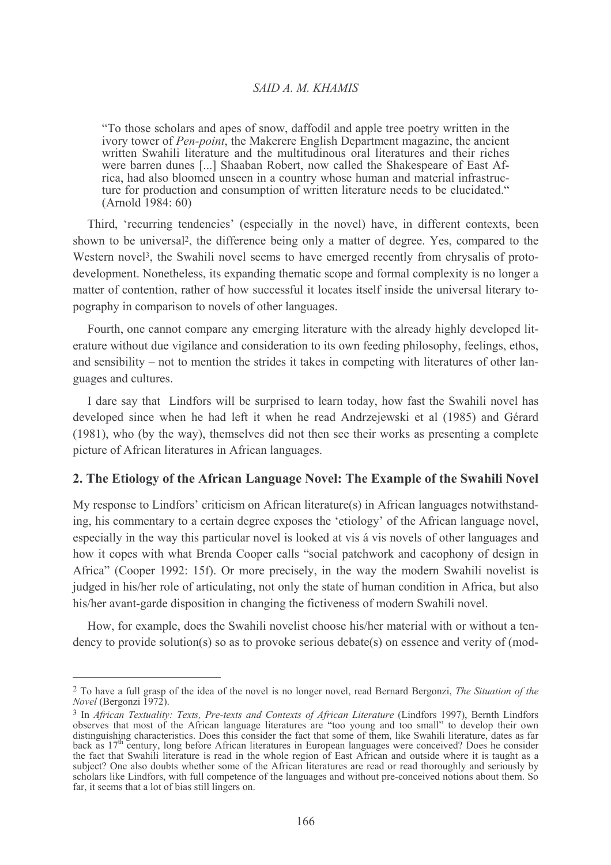"To those scholars and apes of snow, daffodil and apple tree poetry written in the ivory tower of *Pen-point*, the Makerere English Department magazine, the ancient written Swahili literature and the multitudinous oral literatures and their riches were barren dunes [...] Shaaban Robert, now called the Shakespeare of East Africa, had also bloomed unseen in a country whose human and material infrastructure for production and consumption of written literature needs to be elucidated." (Arnold 1984: 60)

Third, 'recurring tendencies' (especially in the novel) have, in different contexts, been shown to be universal<sup>2</sup>, the difference being only a matter of degree. Yes, compared to the Western novel<sup>3</sup>, the Swahili novel seems to have emerged recently from chrysalis of protodevelopment. Nonetheless, its expanding thematic scope and formal complexity is no longer a matter of contention, rather of how successful it locates itself inside the universal literary topography in comparison to novels of other languages.

Fourth, one cannot compare any emerging literature with the already highly developed literature without due vigilance and consideration to its own feeding philosophy, feelings, ethos, and sensibility – not to mention the strides it takes in competing with literatures of other languages and cultures.

I dare say that Lindfors will be surprised to learn today, how fast the Swahili novel has developed since when he had left it when he read Andrzejewski et al (1985) and Gérard (1981), who (by the way), themselves did not then see their works as presenting a complete picture of African literatures in African languages.

# 2. The Etiology of the African Language Novel: The Example of the Swahili Novel

My response to Lindfors' criticism on African literature(s) in African languages notwithstanding, his commentary to a certain degree exposes the 'etiology' of the African language novel, especially in the way this particular novel is looked at vis a vis novels of other languages and how it copes with what Brenda Cooper calls "social patchwork and cacophony of design in Africa" (Cooper 1992: 15f). Or more precisely, in the way the modern Swahili novelist is judged in his/her role of articulating, not only the state of human condition in Africa, but also his/her avant-garde disposition in changing the fictiveness of modern Swahili novel.

How, for example, does the Swahili novelist choose his/her material with or without a tendency to provide solution(s) so as to provoke serious debate(s) on essence and verity of (mod-

<sup>&</sup>lt;sup>2</sup> To have a full grasp of the idea of the novel is no longer novel, read Bernard Bergonzi, *The Situation of the Novel* (Bergonzi 1972).

<sup>&</sup>lt;sup>3</sup> In African Textuality: Texts, Pre-texts and Contexts of African Literature (Lindfors 1997), Bernth Lindfors observes that most of the African language literatures are "too young and too small" to develop their own distinguishing characteristics. Does this consider the fact that some of them, like Swahili literature, dates as far back as 17<sup>th</sup> century, long before African literatures in European languages were conceived? Does he consider the fact that Swahili literature is read in the whole region of East African and outside where it is taught as a subject? One also doubts whether some of the African literatures are read or read thoroughly and seriously by scholars like Lindfors, with full competence of the languages and without pre-conceived notions about them. So far, it seems that a lot of bias still lingers on.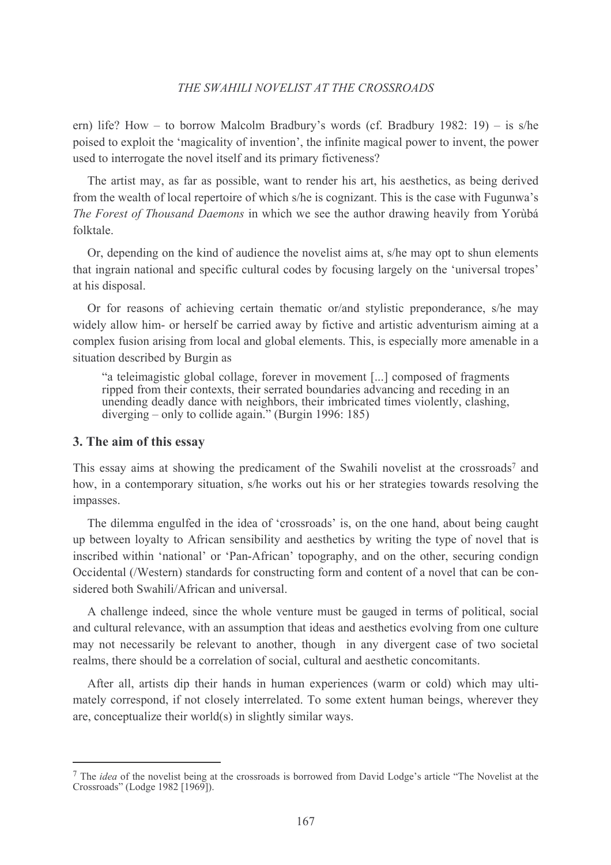ern) life? How – to borrow Malcolm Bradbury's words (cf. Bradbury 1982: 19) – is s/he poised to exploit the 'magicality of invention', the infinite magical power to invent, the power used to interrogate the novel itself and its primary fictiveness?

The artist may, as far as possible, want to render his art, his aesthetics, as being derived from the wealth of local repertoire of which s/he is cognizant. This is the case with Fugunwa's The Forest of Thousand Daemons in which we see the author drawing heavily from Yorubá folktale

Or, depending on the kind of audience the novelist aims at, s/he may opt to shun elements that ingrain national and specific cultural codes by focusing largely on the 'universal tropes' at his disposal.

Or for reasons of achieving certain thematic or/and stylistic preponderance, s/he may widely allow him- or herself be carried away by fictive and artistic adventurism aiming at a complex fusion arising from local and global elements. This, is especially more amenable in a situation described by Burgin as

"a teleimagistic global collage, forever in movement [...] composed of fragments ripped from their contexts, their serrated boundaries advancing and receding in an unending deadly dance with neighbors, their imbricated times violently, clashing, diverging – only to collide again." (Burgin 1996: 185)

### 3. The aim of this essay

This essay aims at showing the predicament of the Swahili novelist at the crossroads<sup>7</sup> and how, in a contemporary situation, s/he works out his or her strategies towards resolving the impasses.

The dilemma engulfed in the idea of 'crossroads' is, on the one hand, about being caught up between loyalty to African sensibility and aesthetics by writing the type of novel that is inscribed within 'national' or 'Pan-African' topography, and on the other, securing condign Occidental (/Western) standards for constructing form and content of a novel that can be considered both Swahili/African and universal.

A challenge indeed, since the whole venture must be gauged in terms of political, social and cultural relevance, with an assumption that ideas and aesthetics evolving from one culture may not necessarily be relevant to another, though in any divergent case of two societal realms, there should be a correlation of social, cultural and aesthetic concomitants.

After all, artists dip their hands in human experiences (warm or cold) which may ultimately correspond, if not closely interrelated. To some extent human beings, wherever they are, conceptualize their world(s) in slightly similar ways.

 $\frac{7}{7}$  The *idea* of the novelist being at the crossroads is borrowed from David Lodge's article "The Novelist at the Crossroads" (Lodge 1982 [1969]).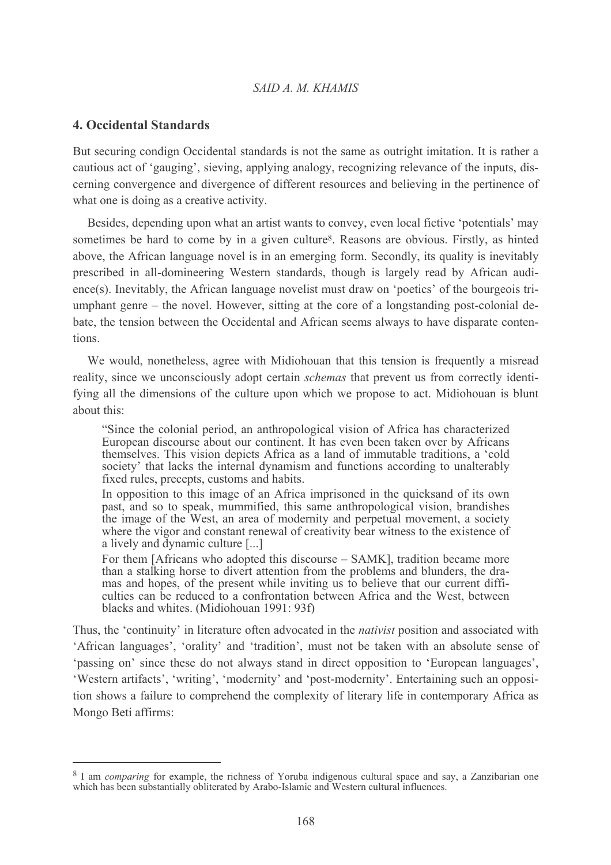# 4. Occidental Standards

But securing condign Occidental standards is not the same as outright imitation. It is rather a cautious act of 'gauging', sieving, applying analogy, recognizing relevance of the inputs, discerning convergence and divergence of different resources and believing in the pertinence of what one is doing as a creative activity.

Besides, depending upon what an artist wants to convey, even local fictive 'potentials' may sometimes be hard to come by in a given culture<sup>8</sup>. Reasons are obvious. Firstly, as hinted above, the African language novel is in an emerging form. Secondly, its quality is inevitably prescribed in all-domineering Western standards, though is largely read by African audience(s). Inevitably, the African language novelist must draw on 'poetics' of the bourgeois triumphant genre – the novel. However, sitting at the core of a longstanding post-colonial debate, the tension between the Occidental and African seems always to have disparate contentions

We would, nonetheless, agree with Midiohouan that this tension is frequently a misread reality, since we unconsciously adopt certain *schemas* that prevent us from correctly identifying all the dimensions of the culture upon which we propose to act. Midiohouan is blunt about this:

"Since the colonial period, an anthropological vision of Africa has characterized European discourse about our continent. It has even been taken over by Africans themselves. This vision depicts Africa as a land of immutable traditions, a 'cold society' that lacks the internal dynamism and functions according to unalterably fixed rules, precepts, customs and habits.

In opposition to this image of an Africa imprisoned in the quicks and of its own past, and so to speak, mummified, this same anthropological vision, brandishes the image of the West, an area of modernity and perpetual movement, a society where the vigor and constant renewal of creativity bear witness to the existence of a lively and dynamic culture [...]

For them [Africans who adopted this discourse – SAMK], tradition became more than a stalking horse to divert attention from the problems and blunders, the dramas and hopes, of the present while inviting us to believe that our current difficulties can be reduced to a confrontation between Africa and the West, between blacks and whites. (Midiohouan 1991: 93f)

Thus, the 'continuity' in literature often advocated in the *nativist* position and associated with 'African languages', 'orality' and 'tradition', must not be taken with an absolute sense of 'passing on' since these do not always stand in direct opposition to 'European languages', 'Western artifacts', 'writing', 'modernity' and 'post-modernity'. Entertaining such an opposition shows a failure to comprehend the complexity of literary life in contemporary Africa as Mongo Beti affirms:

<sup>&</sup>lt;sup>8</sup> I am *comparing* for example, the richness of Yoruba indigenous cultural space and say, a Zanzibarian one which has been substantially obliterated by Arabo-Islamic and Western cultural influences.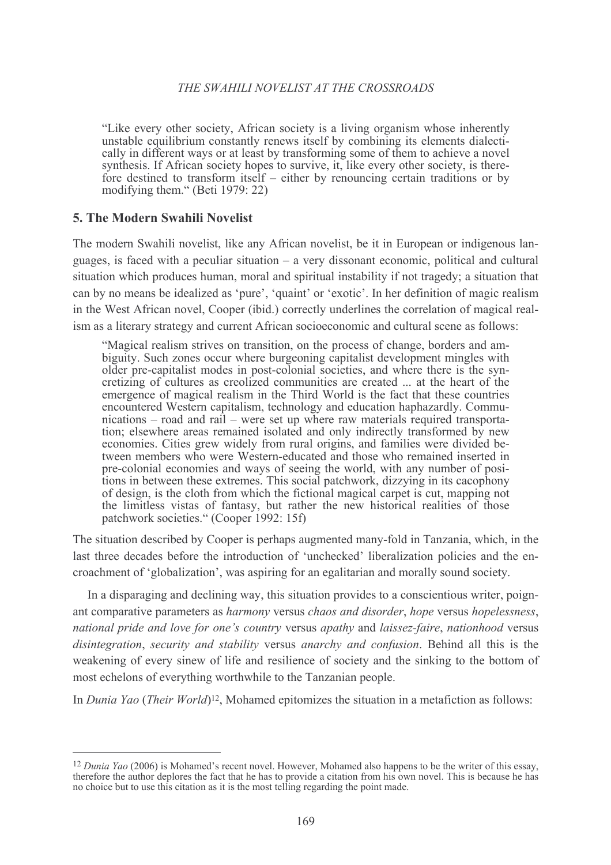"Like every other society, African society is a living organism whose inherently unstable equilibrium constantly renews itself by combining its elements dialectically in different ways or at least by transforming some of them to achieve a novel synthesis. If African society hopes to survive, it, like every other society, is therefore destined to transform itself – either by renouncing certain traditions or by modifying them." (Beti 1979: 22)

# 5. The Modern Swahili Novelist

The modern Swahili novelist, like any African novelist, be it in European or indigenous languages, is faced with a peculiar situation  $-$  a very dissonant economic, political and cultural situation which produces human, moral and spiritual instability if not tragedy; a situation that can by no means be idealized as 'pure', 'quaint' or 'exotic'. In her definition of magic realism in the West African novel, Cooper (ibid.) correctly underlines the correlation of magical realism as a literary strategy and current African socioeconomic and cultural scene as follows:

"Magical realism strives on transition, on the process of change, borders and ambiguity. Such zones occur where burgeoning capitalist development mingles with older pre-capitalist modes in post-colonial societies, and where there is the syncretizing of cultures as creolized communities are created ... at the heart of the emergence of magical realism in the Third World is the fact that these countries encountered Western capitalism, technology and education haphazardly. Communications – road and rail – were set up where raw materials required transportation; elsewhere areas remained isolated and only indirectly transformed by new economies. Cities grew widely from rural origins, and families were divided between members who were Western-educated and those who remained inserted in pre-colonial economies and ways of seeing the world, with any number of positions in between these extremes. This social patchwork, dizzying in its cacophony of design, is the cloth from which the fictional magical carpet is cut, mapping not the limitless vistas of fantasy, but rather the new historical realities of those patchwork societies." (Cooper 1992: 15f)

The situation described by Cooper is perhaps augmented many-fold in Tanzania, which, in the last three decades before the introduction of 'unchecked' liberalization policies and the encroachment of 'globalization', was aspiring for an egalitarian and morally sound society.

In a disparaging and declining way, this situation provides to a conscientious writer, poignant comparative parameters as harmony versus chaos and disorder, hope versus hopelessness, national pride and love for one's country versus apathy and laissez-faire, nationhood versus disintegration, security and stability versus anarchy and confusion. Behind all this is the weakening of every sinew of life and resilience of society and the sinking to the bottom of most echelons of everything worthwhile to the Tanzanian people.

In *Dunia Yao* (*Their World*)<sup>12</sup>, Mohamed epitomizes the situation in a metafiction as follows:

 $12$  Dunia Yao (2006) is Mohamed's recent novel. However, Mohamed also happens to be the writer of this essay, therefore the author deplores the fact that he has to provide a citation from his own novel. This is because he has no choice but to use this citation as it is the most telling regarding the point made.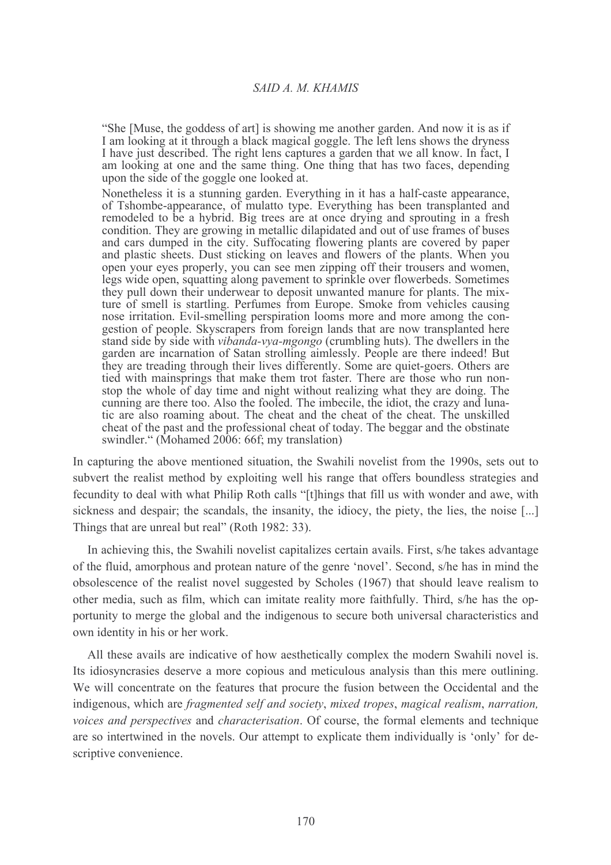"She [Muse, the goddess of art] is showing me another garden. And now it is as if I am looking at it through a black magical goggle. The left lens shows the dryness I have just described. The right lens captures a garden that we all know. In fact, I am looking at one and the same thing. One thing that has two faces, depending upon the side of the goggle one looked at.

Nonetheless it is a stunning garden. Everything in it has a half-caste appearance, of Tshombe-appearance, of mulatto type. Everything has been transplanted and remodeled to be a hybrid. Big trees are at once drying and sprouting in a fresh condition. They are growing in metallic dilapidated and out of use frames of buses and cars dumped in the city. Suffocating flowering plants are covered by paper and plastic sheets. Dust sticking on leaves and flowers of the plants. When you open your eyes properly, you can see men zipping off their trousers and women, legs wide open, squatting along pavement to sprinkle over flowerbeds. Sometimes they pull down their underwear to deposit unwanted manure for plants. The mixture of smell is startling. Perfumes from Europe. Smoke from vehicles causing nose irritation. Evil-smelling perspiration looms more and more among the congestion of people. Skyscrapers from foreign lands that are now transplanted here stand side by side with *vibanda-vya-mgongo* (crumbling huts). The dwellers in the garden are incarnation of Satan strolling aimlessly. People are there indeed! But they are treading through their lives differently. Some are quiet-goers. Others are tied with mainsprings that make them trot faster. There are those who run nonstop the whole of day time and night without realizing what they are doing. The cunning are there too. Also the fooled. The imbecile, the idiot, the crazy and lunatic are also roaming about. The cheat and the cheat of the cheat. The unskilled cheat of the past and the professional cheat of today. The beggar and the obstinate swindler." (Mohamed 2006: 66f; my translation)

In capturing the above mentioned situation, the Swahili novelist from the 1990s, sets out to subvert the realist method by exploiting well his range that offers boundless strategies and fecundity to deal with what Philip Roth calls "[t]hings that fill us with wonder and awe, with sickness and despair; the scandals, the insanity, the idiocy, the piety, the lies, the noise [...] Things that are unreal but real" (Roth 1982: 33).

In achieving this, the Swahili novelist capitalizes certain avails. First, s/he takes advantage of the fluid, amorphous and protean nature of the genre 'novel'. Second, s/he has in mind the obsolescence of the realist novel suggested by Scholes (1967) that should leave realism to other media, such as film, which can imitate reality more faithfully. Third, s/he has the opportunity to merge the global and the indigenous to secure both universal characteristics and own identity in his or her work.

All these avails are indicative of how aesthetically complex the modern Swahili novel is. Its idiosyncrasies deserve a more copious and meticulous analysis than this mere outlining. We will concentrate on the features that procure the fusion between the Occidental and the indigenous, which are *fragmented self and society*, *mixed tropes*, *magical realism*, *narration*, voices and perspectives and characterisation. Of course, the formal elements and technique are so intertwined in the novels. Our attempt to explicate them individually is 'only' for descriptive convenience.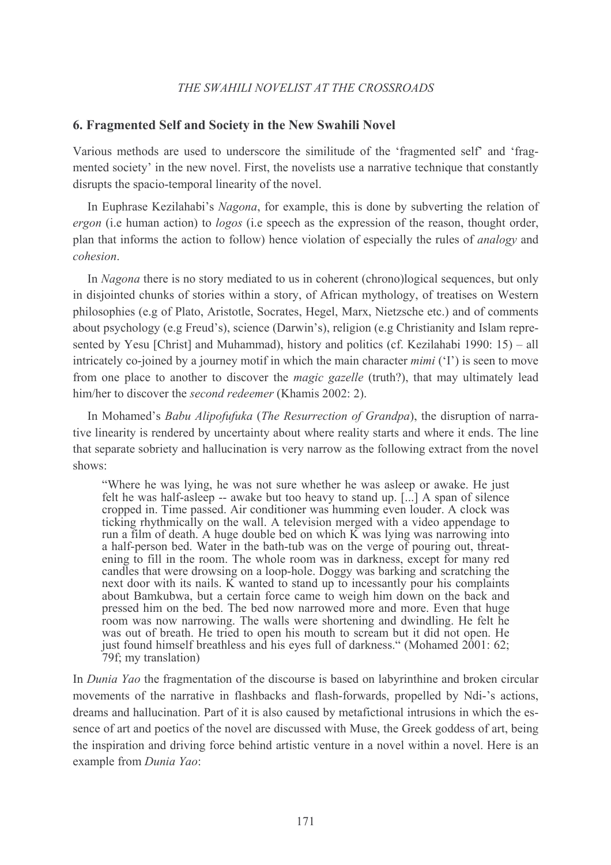### 6. Fragmented Self and Society in the New Swahili Novel

Various methods are used to underscore the similitude of the 'fragmented self' and 'fragmented society' in the new novel. First, the novelists use a narrative technique that constantly disrupts the spacio-temporal linearity of the novel.

In Euphrase Kezilahabi's Nagona, for example, this is done by subverting the relation of ergon (i.e human action) to *logos* (i.e speech as the expression of the reason, thought order, plan that informs the action to follow) hence violation of especially the rules of *analogy* and cohesion.

In *Nagona* there is no story mediated to us in coherent (chrono)logical sequences, but only in disjointed chunks of stories within a story, of African mythology, of treatises on Western philosophies (e.g of Plato, Aristotle, Socrates, Hegel, Marx, Nietzsche etc.) and of comments about psychology (e.g Freud's), science (Darwin's), religion (e.g Christianity and Islam represented by Yesu [Christ] and Muhammad), history and politics (cf. Kezilahabi 1990: 15) – all intricately co-joined by a journey motif in which the main character  $min(i')$  is seen to move from one place to another to discover the *magic gazelle* (truth?), that may ultimately lead him/her to discover the *second redeemer* (Khamis 2002: 2).

In Mohamed's Babu Alipofufuka (The Resurrection of Grandpa), the disruption of narrative linearity is rendered by uncertainty about where reality starts and where it ends. The line that separate sobriety and hallucination is very narrow as the following extract from the novel shows:

"Where he was lying, he was not sure whether he was asleep or awake. He just felt he was half-asleep -- awake but too heavy to stand up. [...] A span of silence cropped in. Time passed. Air conditioner was humming even louder. A clock was ticking rhythmically on the wall. A television merged with a video appendage to run a film of death. A huge double bed on which  $\overline{K}$  was lying was narrowing into a half-person bed. Water in the bath-tub was on the verge of pouring out, threatening to fill in the room. The whole room was in darkness, except for many red candles that were drowsing on a loop-hole. Doggy was barking and scratching the next door with its nails.  $\tilde{K}$  wanted to stand up to incessantly pour his complaints about Bamkubwa, but a certain force came to weigh him down on the back and pressed him on the bed. The bed now narrowed more and more. Even that huge room was now narrowing. The walls were shortening and dwindling. He felt he was out of breath. He tried to open his mouth to scream but it did not open. He just found himself breathless and his eyes full of darkness." (Mohamed 2001: 62; 79f; my translation)

In *Dunia Yao* the fragmentation of the discourse is based on labyrinthine and broken circular movements of the narrative in flashbacks and flash-forwards, propelled by Ndi-'s actions, dreams and hallucination. Part of it is also caused by metafictional intrusions in which the essence of art and poetics of the novel are discussed with Muse, the Greek goddess of art, being the inspiration and driving force behind artistic venture in a novel within a novel. Here is an example from Dunia Yao: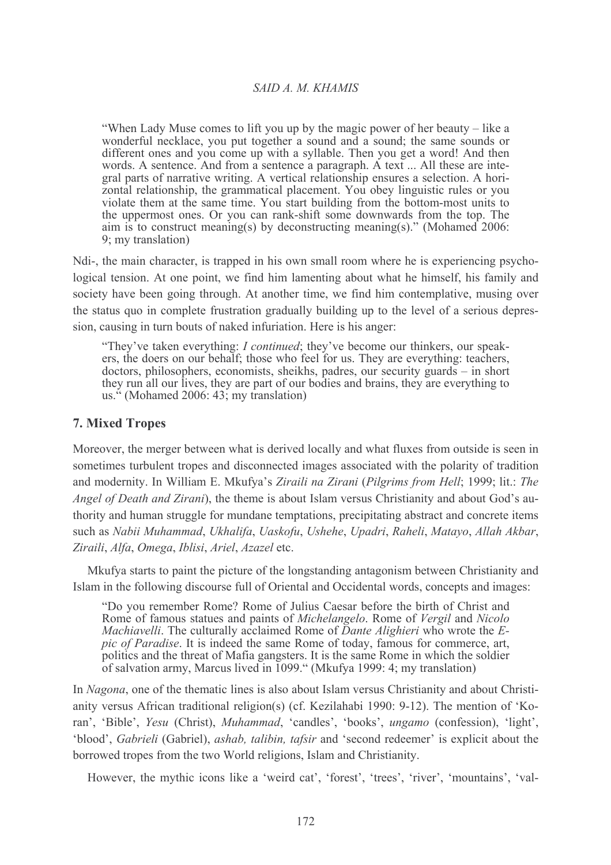"When Lady Muse comes to lift you up by the magic power of her beauty – like a wonderful necklace, you put together a sound and a sound; the same sounds or different ones and you come up with a syllable. Then you get a word! And then words. A sentence. And from a sentence a paragraph. A text ... All these are integral parts of narrative writing. A vertical relationship ensures a selection. A horizontal relationship, the grammatical placement. You obey linguistic rules or you violate them at the same time. You start building from the bottom-most units to the uppermost ones. Or you can rank-shift some downwards from the top. The aim is to construct meaning(s) by deconstructing meaning(s)." (Mohamed 2006: 9; my translation)

Ndi-, the main character, is trapped in his own small room where he is experiencing psychological tension. At one point, we find him lamenting about what he himself, his family and society have been going through. At another time, we find him contemplative, musing over the status quo in complete frustration gradually building up to the level of a serious depression, causing in turn bouts of naked infuriation. Here is his anger:

"They've taken everything: *I continued*; they've become our thinkers, our speakers, the doers on our behalf; those who feel for us. They are everything: teachers, doctors, philosophers, economists, sheikhs, padres, our security guards – in short they run all our lives, they are part of our bodies and brains, they are everything to us." (Mohamed 2006: 43; my translation)

# **7. Mixed Tropes**

Moreover, the merger between what is derived locally and what fluxes from outside is seen in sometimes turbulent tropes and disconnected images associated with the polarity of tradition and modernity. In William E. Mkufya's Ziraili na Zirani (Pilgrims from Hell; 1999; lit.: The *Angel of Death and Zirani*), the theme is about Islam versus Christianity and about God's authority and human struggle for mundane temptations, precipitating abstract and concrete items such as Nabii Muhammad, Ukhalifa, Uaskofu, Ushehe, Upadri, Raheli, Matayo, Allah Akbar, Ziraili, Alfa, Omega, Iblisi, Ariel, Azazel etc.

Mkufya starts to paint the picture of the longstanding antagonism between Christianity and Islam in the following discourse full of Oriental and Occidental words, concepts and images:

"Do you remember Rome? Rome of Julius Caesar before the birth of Christ and Rome of famous statues and paints of *Michelangelo*. Rome of *Vergil* and *Nicolo Machiavelli.* The culturally acclaimed Rome of Dante Alighieri who wrote the  $E$ pic of Paradise. It is indeed the same Rome of today, famous for commerce, art, politics and the threat of Mafia gangsters. It is the same Rome in which the soldier of salvation army, Marcus lived in 1099." (Mkufya 1999: 4; my translation)

In Nagona, one of the thematic lines is also about Islam versus Christianity and about Christianity versus African traditional religion(s) (cf. Kezilahabi 1990: 9-12). The mention of 'Koran', 'Bible', *Yesu* (Christ), *Muhammad*, 'candles', 'books', *ungamo* (confession), 'light', 'blood', *Gabrieli* (Gabriel), *ashab*, *talibin*, *tafsir* and 'second redeemer' is explicit about the borrowed tropes from the two World religions, Islam and Christianity.

However, the mythic icons like a 'weird cat', 'forest', 'trees', 'river', 'mountains', 'val-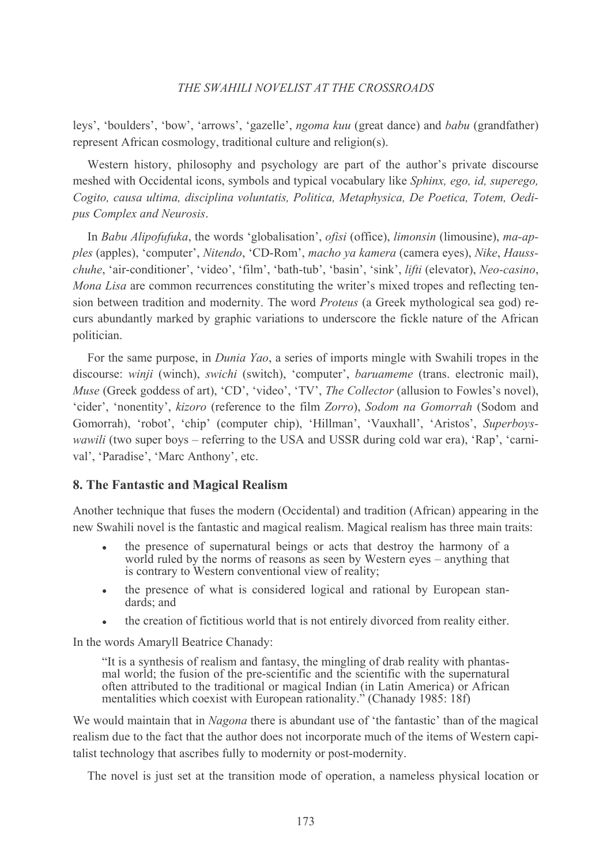leys', 'boulders', 'bow', 'arrows', 'gazelle', ngoma kuu (great dance) and babu (grandfather) represent African cosmology, traditional culture and religion(s).

Western history, philosophy and psychology are part of the author's private discourse meshed with Occidental icons, symbols and typical vocabulary like *Sphinx, ego, id. superego*. Cogito, causa ultima, disciplina voluntatis, Politica, Metaphysica, De Poetica, Totem, Oedipus Complex and Neurosis.

In Babu Alipofufuka, the words 'globalisation', ofisi (office), limonsin (limousine), ma-apples (apples), 'computer', Nitendo, 'CD-Rom', macho ya kamera (camera eyes), Nike, Hausschuhe, 'air-conditioner', 'video', 'film', 'bath-tub', 'basin', 'sink', lifti (elevator), Neo-casino, Mona Lisa are common recurrences constituting the writer's mixed tropes and reflecting tension between tradition and modernity. The word *Proteus* (a Greek mythological sea god) recurs abundantly marked by graphic variations to underscore the fickle nature of the African politician.

For the same purpose, in *Dunia Yao*, a series of imports mingle with Swahili tropes in the discourse: winji (winch), swichi (switch), 'computer', baruameme (trans. electronic mail), *Muse* (Greek goddess of art), 'CD', 'video', 'TV', *The Collector* (allusion to Fowles's novel), 'cider', 'nonentity', kizoro (reference to the film Zorro), Sodom na Gomorrah (Sodom and Gomorrah), 'robot', 'chip' (computer chip), 'Hillman', 'Vauxhall', 'Aristos', Superboys*wawili* (two super boys – referring to the USA and USSR during cold war era), 'Rap', 'carnival', 'Paradise', 'Marc Anthony', etc.

# 8. The Fantastic and Magical Realism

Another technique that fuses the modern (Occidental) and tradition (African) appearing in the new Swahili novel is the fantastic and magical realism. Magical realism has three main traits:

- the presence of supernatural beings or acts that destroy the harmony of a world ruled by the norms of reasons as seen by Western eyes – anything that is contrary to Western conventional view of reality;
- the presence of what is considered logical and rational by European stan $dards$ : and
- the creation of fictitious world that is not entirely divorced from reality either.

In the words Amaryll Beatrice Chanady:

"It is a synthesis of realism and fantasy, the mingling of drab reality with phantasmal world: the fusion of the pre-scientific and the scientific with the supernatural often attributed to the traditional or magical Indian (in Latin America) or African mentalities which coexist with European rationality." (Chanady 1985: 18f)

We would maintain that in *Nagona* there is abundant use of 'the fantastic' than of the magical realism due to the fact that the author does not incorporate much of the items of Western capitalist technology that ascribes fully to modernity or post-modernity.

The novel is just set at the transition mode of operation, a nameless physical location or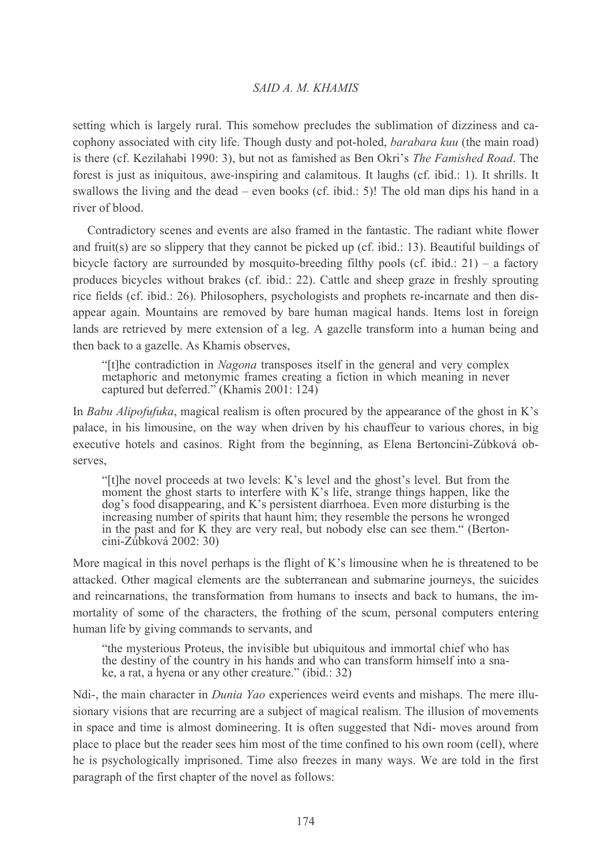setting which is largely rural. This somehow precludes the sublimation of dizziness and cacophony associated with city life. Though dusty and pot-holed, *barabara kuu* (the main road) is there (cf. Kezilahabi 1990: 3), but not as famished as Ben Okri's *The Famished Road*. The forest is just as injournous, awe-inspiring and calamitous. It laughs (cf. ibid.: 1). It shrills, It swallows the living and the dead – even books (cf. ibid.: 5)! The old man dips his hand in a river of blood.

Contradictory scenes and events are also framed in the fantastic. The radiant white flower and fruit(s) are so slippery that they cannot be picked up (cf. ibid.: 13). Beautiful buildings of bicycle factory are surrounded by mosquito-breeding filthy pools (cf. ibid.: 21) – a factory produces bicycles without brakes (cf. ibid.: 22). Cattle and sheep graze in freshly sprouting rice fields (cf. ibid.: 26). Philosophers, psychologists and prophets re-incarnate and then disappear again. Mountains are removed by bare human magical hands. Items lost in foreign lands are retrieved by mere extension of a leg. A gazelle transform into a human being and then back to a gazelle. As Khamis observes,

"[t] t] the contradiction in *Nagona* transposes itself in the general and very complex metaphoric and metonymic frames creating a fiction in which meaning in never captured but deferred." (Khamis 2001: 124)

In Babu Alipofufuka, magical realism is often procured by the appearance of the ghost in  $K$ 's palace, in his limousine, on the way when driven by his chauffeur to various chores, in big executive hotels and casinos. Right from the beginning, as Elena Bertoncini-Zúbková observes.

"[t]he novel proceeds at two levels: K's level and the ghost's level. But from the moment the ghost starts to interfere with K's life, strange things happen, like the dog's food disappearing, and K's persistent diarrhoea. Even more disturbing is the increasing number of spirits that haunt him; they resemble the persons he wronged in the past and for K they are very real, but nobody else can see them." (Bertoncini-Zúbková 2002: 30)

More magical in this novel perhaps is the flight of K's limousine when he is threatened to be attacked. Other magical elements are the subterranean and submarine journeys, the suicides and reincarnations, the transformation from humans to insects and back to humans, the immortality of some of the characters, the frothing of the scum, personal computers entering human life by giving commands to servants, and

"the mysterious Proteus, the invisible but ubiquitous and immortal chief who has the destiny of the country in his hands and who can transform himself into a snake, a rat, a hyena or any other creature." (ibid.: 32)

Ndi-, the main character in *Dunia Yao* experiences weird events and mishaps. The mere illusionary visions that are recurring are a subject of magical realism. The illusion of movements in space and time is almost domineering. It is often suggested that Ndi- moves around from place to place but the reader sees him most of the time confined to his own room (cell), where he is psychologically imprisoned. Time also freezes in many ways. We are told in the first paragraph of the first chapter of the novel as follows: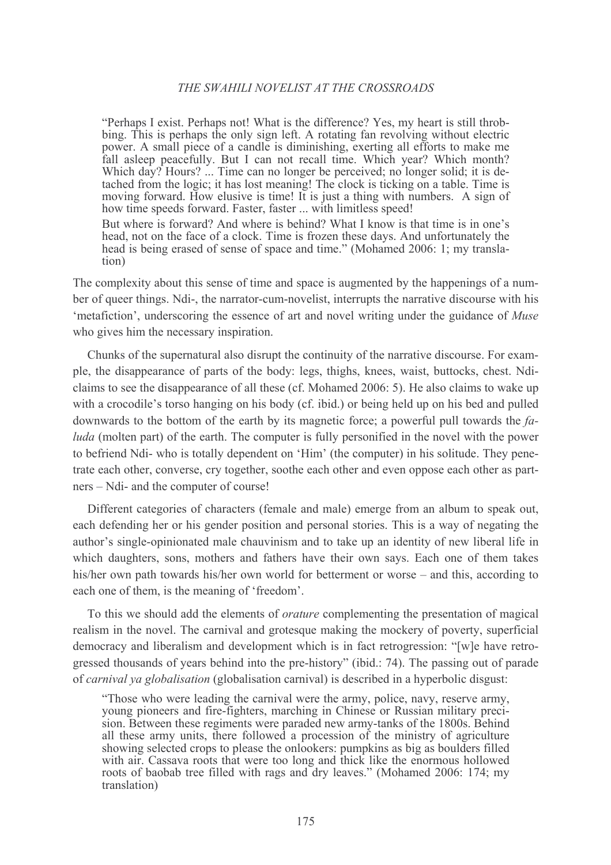"Perhaps I exist. Perhaps not! What is the difference? Yes, my heart is still throbbing. This is perhaps the only sign left. A rotating fan revolving without electric power. A small piece of a candle is diminishing, exerting all efforts to make me fall asleep peacefully. But I can not recall time. Which year? Which month? Which day? Hours? ... Time can no longer be perceived; no longer solid; it is detached from the logic; it has lost meaning! The clock is ticking on a table. Time is moving forward. How elusive is time! It is just a thing with numbers. A sign of how time speeds forward. Faster, faster ... with limitless speed!

But where is forward? And where is behind? What I know is that time is in one's head, not on the face of a clock. Time is frozen these days. And unfortunately the head is being erased of sense of space and time." (Mohamed 2006: 1; my translation)

The complexity about this sense of time and space is augmented by the happenings of a number of queer things. Ndi-, the narrator-cum-novelist, interrupts the narrative discourse with his 'metafiction', underscoring the essence of art and novel writing under the guidance of Muse who gives him the necessary inspiration.

Chunks of the supernatural also disrupt the continuity of the narrative discourse. For example, the disappearance of parts of the body: legs, thighs, knees, waist, buttocks, chest. Ndiclaims to see the disappearance of all these (cf. Mohamed 2006: 5). He also claims to wake up with a crocodile's torso hanging on his body (cf. ibid.) or being held up on his bed and pulled downwards to the bottom of the earth by its magnetic force; a powerful pull towards the fa*luda* (molten part) of the earth. The computer is fully personified in the novel with the power to befriend Ndi- who is totally dependent on 'Him' (the computer) in his solitude. They penetrate each other, converse, cry together, soothe each other and even oppose each other as partners – Ndi- and the computer of course!

Different categories of characters (female and male) emerge from an album to speak out, each defending her or his gender position and personal stories. This is a way of negating the author's single-opinionated male chauvinism and to take up an identity of new liberal life in which daughters, sons, mothers and fathers have their own says. Each one of them takes his/her own path towards his/her own world for betterment or worse – and this, according to each one of them, is the meaning of 'freedom'.

To this we should add the elements of *orature* complementing the presentation of magical realism in the novel. The carnival and grotesque making the mockery of poverty, superficial democracy and liberalism and development which is in fact retrogression: "[w]e have retrogressed thousands of years behind into the pre-history" (ibid.: 74). The passing out of parade of *carnival ya globalisation* (globalisation carnival) is described in a hyperbolic disgust:

"Those who were leading the carnival were the army, police, navy, reserve army, young pioneers and fire-fighters, marching in Chinese or Russian military precision. Between these regiments were paraded new army-tanks of the 1800s. Behind all these army units, there followed a procession of the ministry of agriculture showing selected crops to please the onlookers: pumpkins as big as boulders filled with air. Cassava roots that were too long and thick like the enormous hollowed roots of baobab tree filled with rags and dry leaves." (Mohamed 2006: 174; my translation)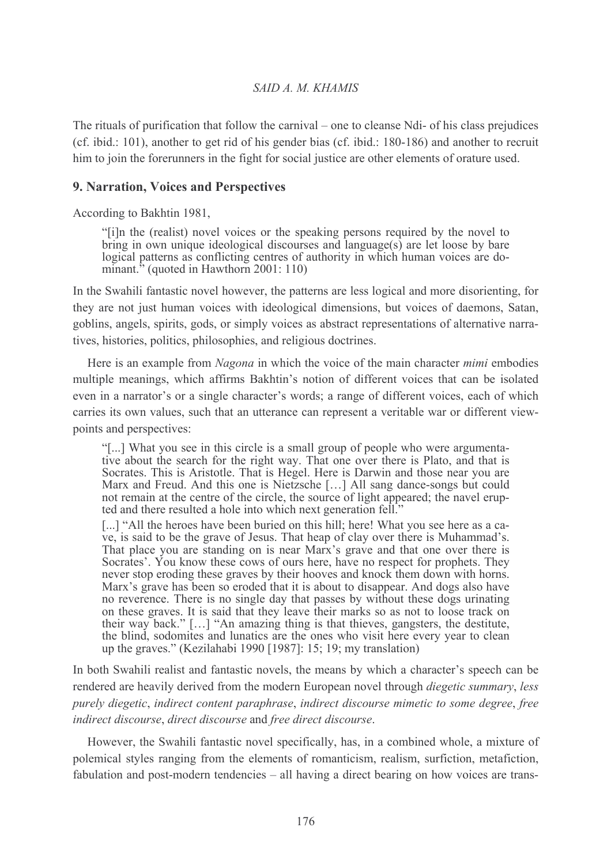The rituals of purification that follow the carnival – one to cleanse Ndi- of his class prejudices (cf. ibid.: 101), another to get rid of his gender bias (cf. ibid.: 180-186) and another to recruit him to join the forerunners in the fight for social justice are other elements of orature used.

# 9. Narration, Voices and Perspectives

According to Bakhtin 1981,

"[i]n the (realist) novel voices or the speaking persons required by the novel to bring in own unique ideological discourses and language(s) are let loose by bare logical patterns as conflicting centres of authority in which human voices are dominant." (quoted in Hawthorn 2001: 110)

In the Swahili fantastic novel however, the patterns are less logical and more disorienting, for they are not just human voices with ideological dimensions, but voices of daemons, Satan, goblins, angels, spirits, gods, or simply voices as abstract representations of alternative narratives, histories, politics, philosophies, and religious doctrines.

Here is an example from *Nagona* in which the voice of the main character *mimi* embodies multiple meanings, which affirms Bakhtin's notion of different voices that can be isolated even in a narrator's or a single character's words; a range of different voices, each of which carries its own values, such that an utterance can represent a veritable war or different viewpoints and perspectives:

"[...] What you see in this circle is a small group of people who were argumentative about the search for the right way. That one over there is Plato, and that is Socrates. This is Aristotle. That is Hegel. Here is Darwin and those near you are Marx and Freud. And this one is Nietzsche [...] All sang dance-songs but could not remain at the centre of the circle, the source of light appeared; the navel erupted and there resulted a hole into which next generation fell."

[...] "All the heroes have been buried on this hill; here! What you see here as a cave, is said to be the grave of Jesus. That heap of clay over there is Muhammad's. That place you are standing on is near Marx's grave and that one over there is Socrates'. You know these cows of ours here, have no respect for prophets. They never stop eroding these graves by their hooves and knock them down with horns. Marx's grave has been so eroded that it is about to disappear. And dogs also have no reverence. There is no single day that passes by without these dogs urinating on these graves. It is said that they leave their marks so as not to loose track on their way back." [...] "An amazing thing is that thieves, gangsters, the destitute, the blind, sodomites and lunatics are the ones who visit here every year to clean up the graves." (Kezilahabi 1990 [1987]: 15: 19: my translation)

In both Swahili realist and fantastic novels, the means by which a character's speech can be rendered are heavily derived from the modern European novel through *diegetic summary*, less purely diegetic, indirect content paraphrase, indirect discourse mimetic to some degree, free indirect discourse, direct discourse and free direct discourse.

However, the Swahili fantastic novel specifically, has, in a combined whole, a mixture of polemical styles ranging from the elements of romanticism, realism, surfiction, metafiction, fabulation and post-modern tendencies – all having a direct bearing on how voices are trans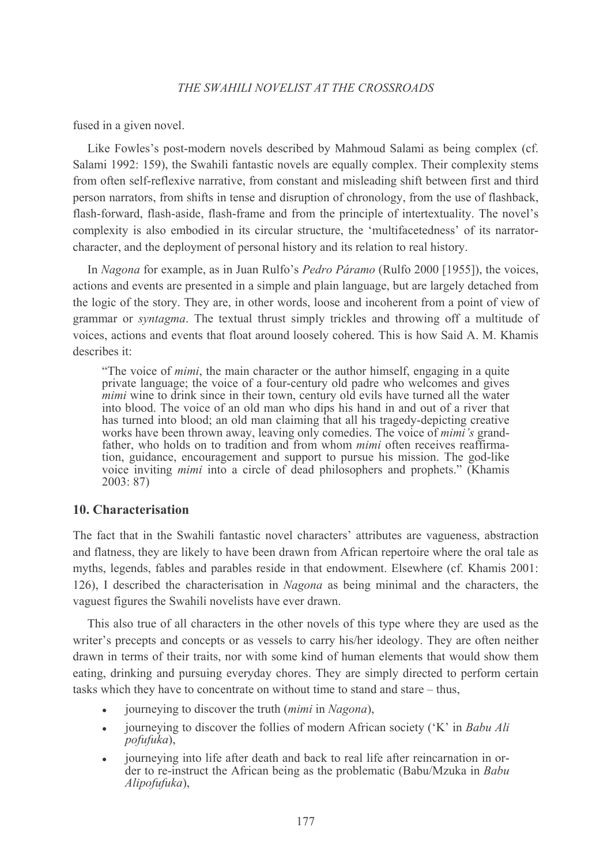fused in a given novel.

Like Fowles's post-modern novels described by Mahmoud Salami as being complex (cf. Salami 1992: 159), the Swahili fantastic novels are equally complex. Their complexity stems from often self-reflexive narrative, from constant and misleading shift between first and third person narrators, from shifts in tense and disruption of chronology, from the use of flashback, flash-forward, flash-aside, flash-frame and from the principle of intertextuality. The novel's complexity is also embodied in its circular structure, the 'multifacetedness' of its narratorcharacter, and the deployment of personal history and its relation to real history.

In Nagona for example, as in Juan Rulfo's *Pedro Páramo* (Rulfo 2000 [1955]), the voices, actions and events are presented in a simple and plain language, but are largely detached from the logic of the story. They are, in other words, loose and incoherent from a point of view of grammar or *syntagma*. The textual thrust simply trickles and throwing off a multitude of voices, actions and events that float around loosely cohered. This is how Said A. M. Khamis describes it:

"The voice of *mimi*, the main character or the author himself, engaging in a quite private language; the voice of a four-century old padre who welcomes and gives *mimi* wine to drink since in their town, century old evils have turned all the water into blood. The voice of an old man who dips his hand in and out of a river that has turned into blood; an old man claiming that all his tragedy-depicting creative works have been thrown away, leaving only comedies. The voice of *mimi's* grandfather, who holds on to tradition and from whom *mimi* often receives reaffirmation, guidance, encouragement and support to pursue his mission. The god-like voice inviting *mimi* into a circle of dead philosophers and prophets." (Khamis  $2003:87$ 

# 10. Characterisation

The fact that in the Swahili fantastic novel characters' attributes are vagueness, abstraction and flatness, they are likely to have been drawn from African repertoire where the oral tale as myths, legends, fables and parables reside in that endowment. Elsewhere (cf. Khamis 2001: 126), I described the characterisation in Nagona as being minimal and the characters, the vaguest figures the Swahili novelists have ever drawn.

This also true of all characters in the other novels of this type where they are used as the writer's precepts and concepts or as vessels to carry his/her ideology. They are often neither drawn in terms of their traits, nor with some kind of human elements that would show them eating, drinking and pursuing everyday chores. They are simply directed to perform certain tasks which they have to concentrate on without time to stand and stare – thus,

- journeying to discover the truth (*mimi* in *Nagona*),  $\bullet$
- journeying to discover the follies of modern African society ('K' in Babu Ali  $\bullet$ pofufuka),
- journeying into life after death and back to real life after reincarnation in order to re-instruct the African being as the problematic (Babu/Mzuka in Babu Alipofufuka),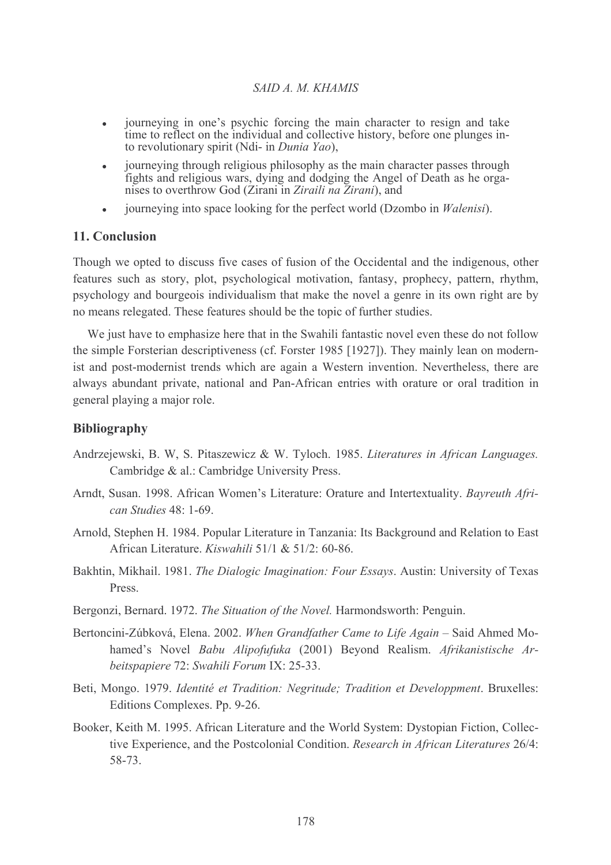- journeying in one's psychic forcing the main character to resign and take  $\bullet$ time to reflect on the individual and collective history, before one plunges into revolutionary spirit (Ndi- in Dunia Yao),
- journeying through religious philosophy as the main character passes through  $\bullet$ fights and religious wars, dving and dodging the Angel of Death as he organises to overthrow God (Zirani in Ziraili na Zirani), and
- journeying into space looking for the perfect world (Dzombo in *Walenisi*).

# 11. Conclusion

Though we opted to discuss five cases of fusion of the Occidental and the indigenous, other features such as story, plot, psychological motivation, fantasy, prophecy, pattern, rhythm, psychology and bourgeois individualism that make the novel a genre in its own right are by no means relegated. These features should be the topic of further studies.

We just have to emphasize here that in the Swahili fantastic novel even these do not follow the simple Forsterian descriptiveness (cf. Forster 1985 [1927]). They mainly lean on modernist and post-modernist trends which are again a Western invention. Nevertheless, there are always abundant private, national and Pan-African entries with orature or oral tradition in general playing a major role.

# **Bibliography**

- Andrzejewski, B. W, S. Pitaszewicz & W. Tyloch. 1985. Literatures in African Languages. Cambridge & al.: Cambridge University Press.
- Arndt, Susan. 1998. African Women's Literature: Orature and Intertextuality. Bayreuth African Studies 48: 1-69.
- Arnold, Stephen H. 1984. Popular Literature in Tanzania: Its Background and Relation to East African Literature. Kiswahili 51/1 & 51/2: 60-86.
- Bakhtin, Mikhail, 1981. *The Dialogic Imagination: Four Essays*. Austin: University of Texas **Press**
- Bergonzi, Bernard. 1972. The Situation of the Novel. Harmondsworth: Penguin.
- Bertoncini-Zúbková, Elena. 2002. When Grandfather Came to Life Again Said Ahmed Mohamed's Novel Babu Alipofufuka (2001) Beyond Realism. Afrikanistische Arbeitspapiere 72: Swahili Forum IX: 25-33.
- Beti, Mongo. 1979. Identité et Tradition: Negritude; Tradition et Developpment. Bruxelles: Editions Complexes. Pp. 9-26.
- Booker, Keith M. 1995. African Literature and the World System: Dystopian Fiction, Collective Experience, and the Postcolonial Condition. Research in African Literatures 26/4: 58-73.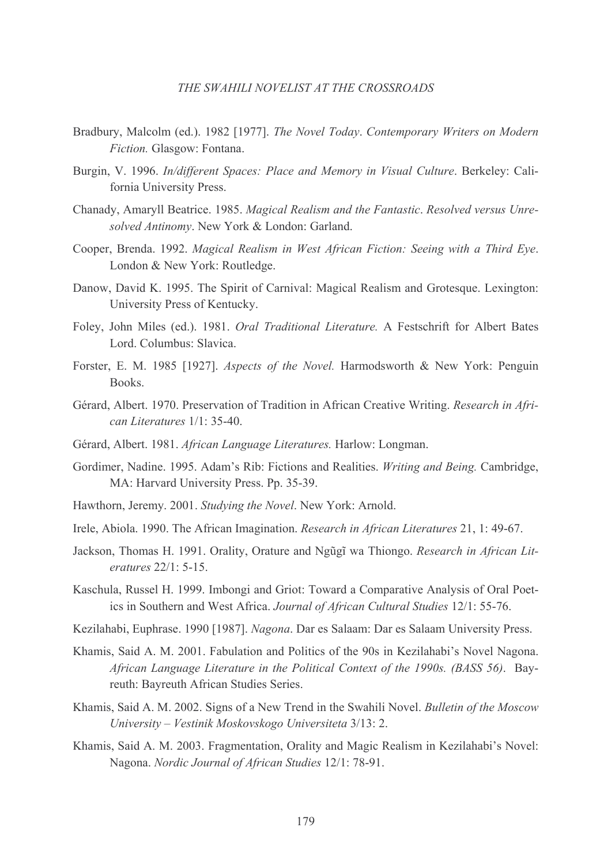- Bradbury, Malcolm (ed.). 1982 [1977]. The Novel Today. Contemporary Writers on Modern Fiction. Glasgow: Fontana.
- Burgin, V. 1996. In/different Spaces: Place and Memory in Visual Culture. Berkeley: California University Press.
- Chanady, Amaryll Beatrice. 1985. Magical Realism and the Fantastic. Resolved versus Unresolved Antinomy. New York & London: Garland.
- Cooper, Brenda. 1992. Magical Realism in West African Fiction: Seeing with a Third Eye. London & New York: Routledge.
- Danow, David K. 1995. The Spirit of Carnival: Magical Realism and Grotesque. Lexington: University Press of Kentucky.
- Foley, John Miles (ed.). 1981. Oral Traditional Literature. A Festschrift for Albert Bates Lord. Columbus: Slavica.
- Forster, E. M. 1985 [1927]. Aspects of the Novel. Harmodsworth & New York: Penguin Books.
- Gérard, Albert. 1970. Preservation of Tradition in African Creative Writing. Research in African Literatures  $1/1.35-40$
- Gérard, Albert. 1981. African Language Literatures. Harlow: Longman.
- Gordimer, Nadine, 1995. Adam's Rib: Fictions and Realities. Writing and Being. Cambridge, MA: Harvard University Press. Pp. 35-39.
- Hawthorn, Jeremy. 2001. Studying the Novel. New York: Arnold.
- Irele, Abiola. 1990. The African Imagination. Research in African Literatures 21, 1:49-67.
- Jackson, Thomas H. 1991. Orality, Orature and Ngũgĩ wa Thiongo. Research in African Literatures 22/1: 5-15.
- Kaschula, Russel H. 1999. Imbongi and Griot: Toward a Comparative Analysis of Oral Poetics in Southern and West Africa. Journal of African Cultural Studies 12/1: 55-76.
- Kezilahabi, Euphrase. 1990 [1987]. Nagona. Dar es Salaam: Dar es Salaam University Press.
- Khamis, Said A. M. 2001. Fabulation and Politics of the 90s in Kezilahabi's Novel Nagona. African Language Literature in the Political Context of the 1990s. (BASS 56). Bayreuth: Bayreuth African Studies Series.
- Khamis, Said A. M. 2002. Signs of a New Trend in the Swahili Novel. Bulletin of the Moscow University - Vestinik Moskovskogo Universiteta 3/13: 2.
- Khamis, Said A. M. 2003. Fragmentation, Orality and Magic Realism in Kezilahabi's Novel: Nagona. Nordic Journal of African Studies 12/1: 78-91.